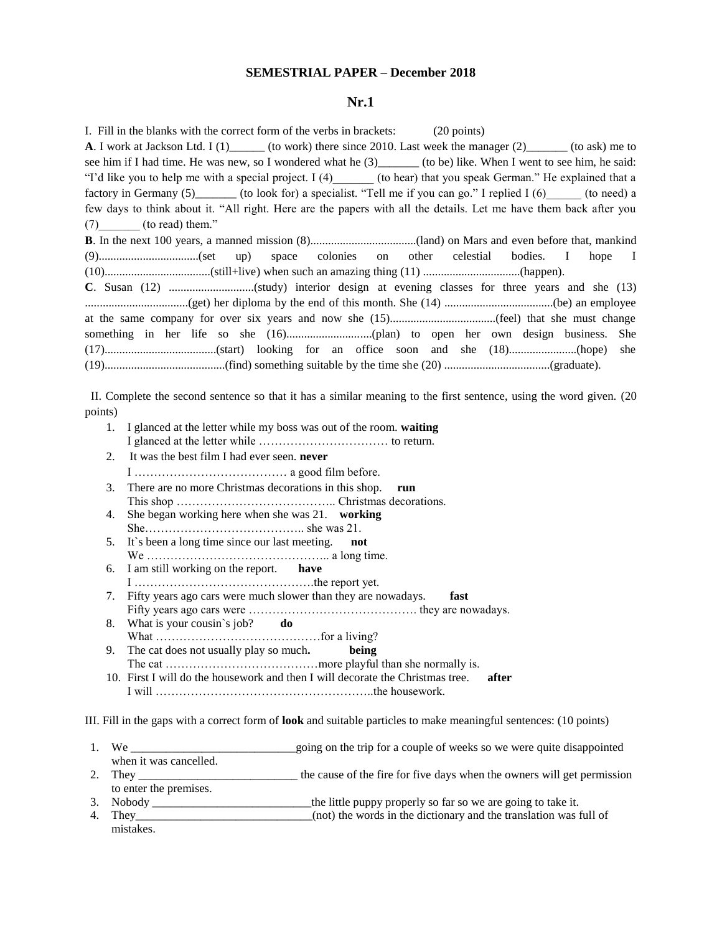#### **SEMESTRIAL PAPER – December 2018**

#### **Nr.1**

| I. Fill in the blanks with the correct form of the verbs in brackets: (20 points)                                 |
|-------------------------------------------------------------------------------------------------------------------|
| <b>A.</b> I work at Jackson Ltd. I $(1)$ (to work) there since 2010. Last week the manager $(2)$ (to ask) me to   |
| see him if I had time. He was new, so I wondered what he (3) (to be) like. When I went to see him, he said:       |
| "I'd like you to help me with a special project. I (4) (to hear) that you speak German." He explained that a      |
| factory in Germany (5) (to look for) a specialist. "Tell me if you can go." I replied I (6) (to need) a           |
| few days to think about it. "All right. Here are the papers with all the details. Let me have them back after you |
| $(7)$ (to read) them."                                                                                            |
|                                                                                                                   |
|                                                                                                                   |
|                                                                                                                   |
|                                                                                                                   |
|                                                                                                                   |
|                                                                                                                   |
|                                                                                                                   |
|                                                                                                                   |
|                                                                                                                   |

II. Complete the second sentence so that it has a similar meaning to the first sentence, using the word given. (20 points)

- 1. I glanced at the letter while my boss was out of the room. **waiting**  I glanced at the letter while …………………………… to return.
- 2. It was the best film I had ever seen. **never**
- I ………………………………… a good film before. 3. There are no more Christmas decorations in this shop. **run**
- This shop ………………………………….. Christmas decorations.
- 4. She began working here when she was 21. **working** She………………………………….. she was 21.
- 5. It`s been a long time since our last meeting. **not** We ……………………………………….. a long time.
- 6. I am still working on the report. **have**
- I ……………………………………….the report yet. 7. Fifty years ago cars were much slower than they are nowadays. **fast**
- Fifty years ago cars were ……………………………………. they are nowadays. 8. What is your cousin`s job? **do**
- What ……………………………………for a living? 9. The cat does not usually play so much**. being**
- The cat  $\ldots$   $\ldots$   $\ldots$   $\ldots$   $\ldots$   $\ldots$   $\ldots$  more playful than she normally is. 10. First I will do the housework and then I will decorate the Christmas tree. **after** I will ………………………………………………..the housework.

III. Fill in the gaps with a correct form of **look** and suitable particles to make meaningful sentences: (10 points)

- 1. We <u>example of weeks some</u> we were quite disappointed when it was cancelled.
- 2. They the cause of the fire for five days when the owners will get permission to enter the premises.
- 3. Nobody \_\_\_\_\_\_\_\_\_\_\_\_\_\_\_\_\_\_\_\_\_\_\_\_\_\_\_the little puppy properly so far so we are going to take it.
- (not) the words in the dictionary and the translation was full of mistakes.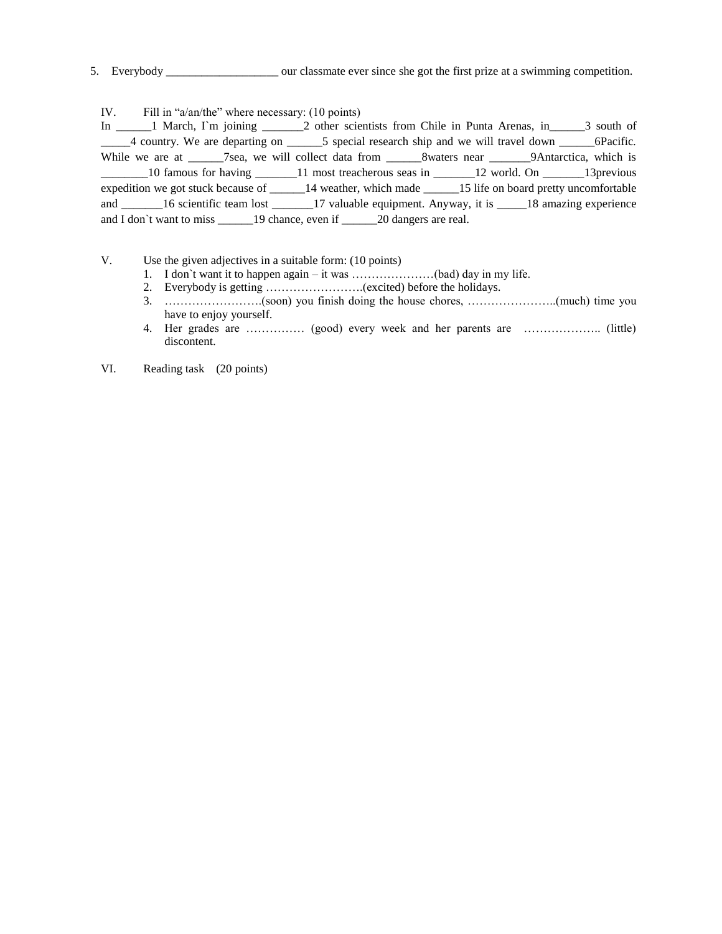5. Everybody \_\_\_\_\_\_\_\_\_\_\_\_\_\_\_\_\_\_\_ our classmate ever since she got the first prize at a swimming competition.

IV. Fill in "a/an/the" where necessary: (10 points)

In \_\_\_\_\_\_1 March, I`m joining \_\_\_\_\_\_\_2 other scientists from Chile in Punta Arenas, in\_\_\_\_\_\_3 south of \_\_\_\_4 country. We are departing on \_\_\_\_\_\_5 special research ship and we will travel down \_\_\_\_\_\_6Pacific. While we are at \_\_\_\_\_\_7sea, we will collect data from \_\_\_\_\_\_8waters near \_\_\_\_\_\_9Antarctica, which is \_\_\_\_\_\_\_\_10 famous for having \_\_\_\_\_\_\_11 most treacherous seas in \_\_\_\_\_\_\_12 world. On \_\_\_\_\_\_\_13previous expedition we got stuck because of \_\_\_\_\_\_14 weather, which made \_\_\_\_\_\_15 life on board pretty uncomfortable and \_\_\_\_\_\_16 scientific team lost \_\_\_\_\_\_17 valuable equipment. Anyway, it is \_\_\_\_\_18 amazing experience and I don't want to miss \_\_\_\_\_\_\_19 chance, even if \_\_\_\_\_\_\_20 dangers are real.

V. Use the given adjectives in a suitable form: (10 points)

- 1. I don`t want it to happen again it was …………………(bad) day in my life.
- 2. Everybody is getting …………………….(excited) before the holidays.
- 3. …………………….(soon) you finish doing the house chores, …………………..(much) time you have to enjoy yourself.
- 4. Her grades are …………… (good) every week and her parents are ……………….. (little) discontent.

VI. Reading task (20 points)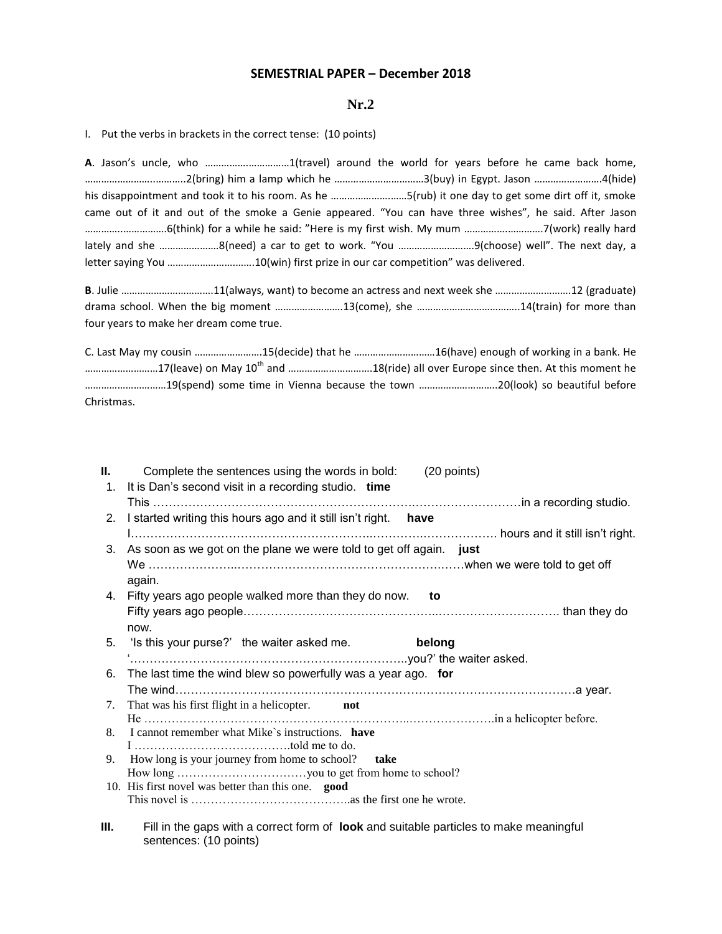## **SEMESTRIAL PAPER – December 2018**

## **Nr.2**

I. Put the verbs in brackets in the correct tense: (10 points)

sentences: (10 points)

**A**. Jason's uncle, who …………….……………1(travel) around the world for years before he came back home, ……………………..………..2(bring) him a lamp which he ……………………………3(buy) in Egypt. Jason …………………….4(hide) his disappointment and took it to his room. As he ………………….……5(rub) it one day to get some dirt off it, smoke came out of it and out of the smoke a Genie appeared. "You can have three wishes", he said. After Jason …………..…………….6(think) for a while he said: "Here is my first wish. My mum …………….………….7(work) really hard lately and she ………………….8(need) a car to get to work. "You ……………………….9(choose) well". The next day, a letter saying You …………………….…….10(win) first prize in our car competition" was delivered.

**B**. Julie …………………………….11(always, want) to become an actress and next week she ……………………….12 (graduate) drama school. When the big moment …………………….13(come), she ………………………………..14(train) for more than four years to make her dream come true.

C. Last May my cousin …………………….15(decide) that he …………………………16(have) enough of working in a bank. He ............................17(leave) on May 10<sup>th</sup> and ...............................18(ride) all over Europe since then. At this moment he …………………………19(spend) some time in Vienna because the town ………………………..20(look) so beautiful before Christmas.

|    | Complete the sentences using the words in bold:<br>(20 points)                         |
|----|----------------------------------------------------------------------------------------|
| 1. | It is Dan's second visit in a recording studio. time                                   |
|    |                                                                                        |
|    | 2. I started writing this hours ago and it still isn't right.<br>have                  |
|    |                                                                                        |
|    | 3. As soon as we got on the plane we were told to get off again. just                  |
|    |                                                                                        |
|    | again.                                                                                 |
|    | 4. Fifty years ago people walked more than they do now. to                             |
|    |                                                                                        |
|    | now.                                                                                   |
|    | 5. 'Is this your purse?' the waiter asked me.<br>belong                                |
|    |                                                                                        |
|    | 6. The last time the wind blew so powerfully was a year ago. for                       |
|    |                                                                                        |
| 7. | That was his first flight in a helicopter. not                                         |
|    | 8. I cannot remember what Mike's instructions. have                                    |
|    |                                                                                        |
|    | 9. How long is your journey from home to school? take                                  |
|    |                                                                                        |
|    | 10. His first novel was better than this one. good                                     |
|    |                                                                                        |
| Ш. | Fill in the gaps with a correct form of look and suitable particles to make meaningful |
|    |                                                                                        |